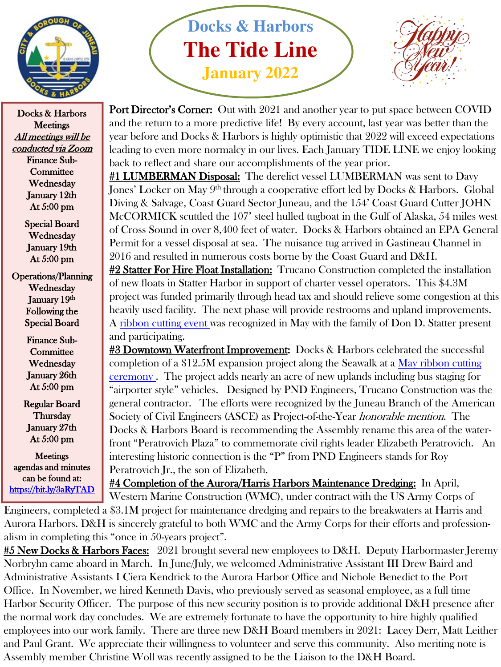

Docks & Harbors **Meetings** All meetings will be conducted via Zoom Finance Sub-**Committee** Wednesday January 12th At 5:00 pm

> Special Board Wednesday January 19th At 5:00 pm

Operations/Planning **Wednesday** January 19th Following the Special Board

> Finance Sub-**Committee Wednesday** January 26th At 5:00 pm

Regular Board **Thursday** January 27th At 5:00 pm

**Meetings** agendas and minutes can be found at: <https://bit.ly/3aRyTAD>

## **Docks & Harbors The Tide Line January 2022**



**Port Director's Corner:** Out with 2021 and another year to put space between COVID and the return to a more predictive life! By every account, last year was better than the year before and Docks & Harbors is highly optimistic that 2022 will exceed expectations leading to even more normalcy in our lives. Each January TIDE LINE we enjoy looking back to reflect and share our accomplishments of the year prior.

#1 LUMBERMAN Disposal: The derelict vessel LUMBERMAN was sent to Davy Jones' Locker on May 9<sup>th</sup> through a cooperative effort led by Docks & Harbors. Global Diving & Salvage, Coast Guard Sector Juneau, and the 154' Coast Guard Cutter JOHN McCORMICK scuttled the 107' steel hulled tugboat in the Gulf of Alaska, 54 miles west of Cross Sound in over 8,400 feet of water. Docks & Harbors obtained an EPA General Permit for a vessel disposal at sea. The nuisance tug arrived in Gastineau Channel in 2016 and resulted in numerous costs borne by the Coast Guard and D&H.

#2 Statter For Hire Float Installation: Trucano Construction completed the installation of new floats in Statter Harbor in support of charter vessel operators. This \$4.3M project was funded primarily through head tax and should relieve some congestion at this heavily used facility. The next phase will provide restrooms and upland improvements. A [ribbon cutting event w](https://www.youtube.com/watch?app=desktop&v=MfFVHq5ZZiE)as recognized in May with the family of Don D. Statter present and participating.

#3 Downtown Waterfront Improvement: Docks & Harbors celebrated the successful [completion of a \\$12.5M expansion project along the Seawalk at a May ribbon cutting](https://www.youtube.com/watch?app=desktop&v=oTjF4BreCYE)  ceremony . The project adds nearly an acre of new uplands including bus staging for "airporter style" vehicles. Designed by PND Engineers, Trucano Construction was the general contractor. The efforts were recognized by the Juneau Branch of the American Society of Civil Engineers (ASCE) as Project-of-the-Year honorable mention. The Docks & Harbors Board is recommending the Assembly rename this area of the waterfront "Peratrovich Plaza" to commemorate civil rights leader Elizabeth Peratrovich. An interesting historic connection is the "P" from PND Engineers stands for Roy Peratrovich Jr., the son of Elizabeth.

#4 Completion of the Aurora/Harris Harbors Maintenance Dredging: In April, Western Marine Construction (WMC), under contract with the US Army Corps of Engineers, completed a \$3.1M project for maintenance dredging and repairs to the breakwaters at Harris and Aurora Harbors. D&H is sincerely grateful to both WMC and the Army Corps for their efforts and profession-

alism in completing this "once in 50-years project".

#5 New Docks & Harbors Faces: 2021 brought several new employees to D&H. Deputy Harbormaster Jeremy Norbryhn came aboard in March. In June/July, we welcomed Administrative Assistant III Drew Baird and Administrative Assistants I Ciera Kendrick to the Aurora Harbor Office and Nichole Benedict to the Port Office. In November, we hired Kenneth Davis, who previously served as seasonal employee, as a full time Harbor Security Officer. The purpose of this new security position is to provide additional D&H presence after the normal work day concludes. We are extremely fortunate to have the opportunity to hire highly qualified employees into our work family. There are three new D&H Board members in 2021: Lacey Derr, Matt Leither and Paul Grant. We appreciate their willingness to volunteer and serve this community. Also meriting note is Assembly member Christine Woll was recently assigned to be the Liaison to the D&H Board.